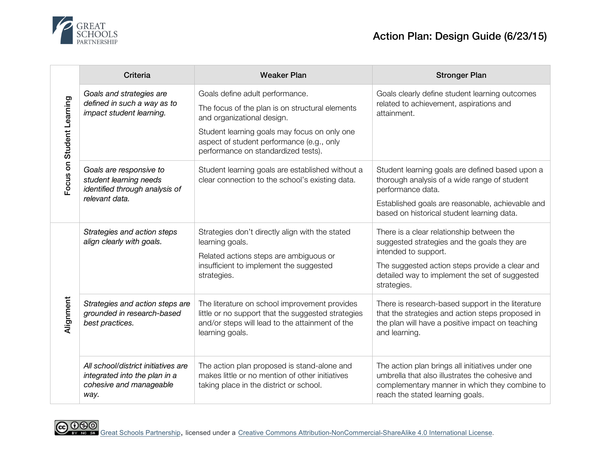

| Focus on Student Learning | Criteria                                                                                                | <b>Weaker Plan</b>                                                                                                                                                                                                                                   | <b>Stronger Plan</b>                                                                                                                                                                                                                |
|---------------------------|---------------------------------------------------------------------------------------------------------|------------------------------------------------------------------------------------------------------------------------------------------------------------------------------------------------------------------------------------------------------|-------------------------------------------------------------------------------------------------------------------------------------------------------------------------------------------------------------------------------------|
|                           | Goals and strategies are<br>defined in such a way as to<br>impact student learning.                     | Goals define adult performance.<br>The focus of the plan is on structural elements<br>and organizational design.<br>Student learning goals may focus on only one<br>aspect of student performance (e.g., only<br>performance on standardized tests). | Goals clearly define student learning outcomes<br>related to achievement, aspirations and<br>attainment.                                                                                                                            |
|                           | Goals are responsive to<br>student learning needs<br>identified through analysis of<br>relevant data.   | Student learning goals are established without a<br>clear connection to the school's existing data.                                                                                                                                                  | Student learning goals are defined based upon a<br>thorough analysis of a wide range of student<br>performance data.<br>Established goals are reasonable, achievable and<br>based on historical student learning data.              |
| Alignment                 | Strategies and action steps<br>align clearly with goals.                                                | Strategies don't directly align with the stated<br>learning goals.<br>Related actions steps are ambiguous or<br>insufficient to implement the suggested<br>strategies.                                                                               | There is a clear relationship between the<br>suggested strategies and the goals they are<br>intended to support.<br>The suggested action steps provide a clear and<br>detailed way to implement the set of suggested<br>strategies. |
|                           | Strategies and action steps are<br>grounded in research-based<br>best practices.                        | The literature on school improvement provides<br>little or no support that the suggested strategies<br>and/or steps will lead to the attainment of the<br>learning goals.                                                                            | There is research-based support in the literature<br>that the strategies and action steps proposed in<br>the plan will have a positive impact on teaching<br>and learning.                                                          |
|                           | All school/district initiatives are<br>integrated into the plan in a<br>cohesive and manageable<br>way. | The action plan proposed is stand-alone and<br>makes little or no mention of other initiatives<br>taking place in the district or school.                                                                                                            | The action plan brings all initiatives under one<br>umbrella that also illustrates the cohesive and<br>complementary manner in which they combine to<br>reach the stated learning goals.                                            |